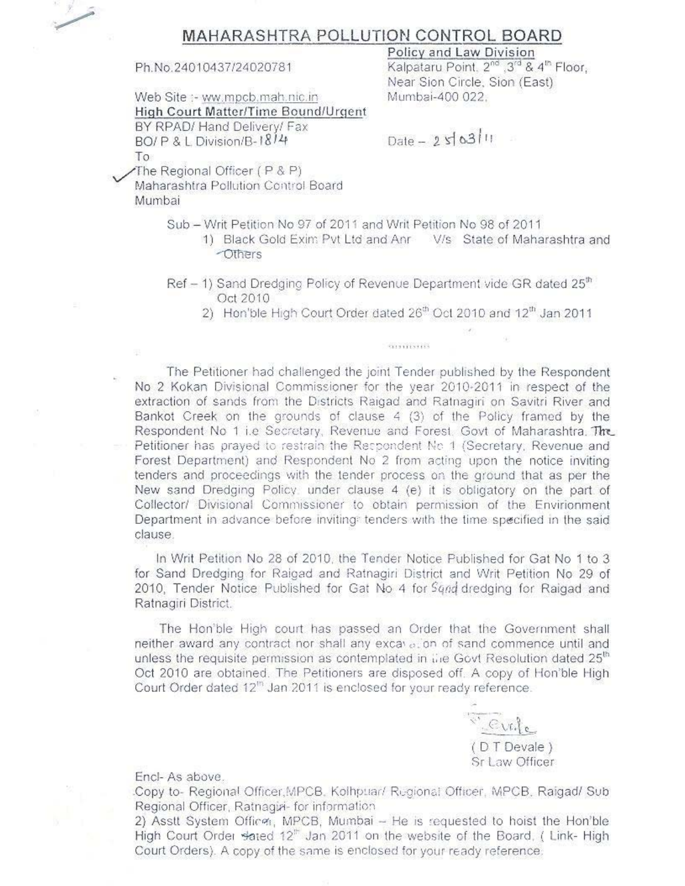

### MAHARASHTRA POLLUTION CONTROL BOARD

Ph.No.24010437/24020781

Web Site :- ww.mpcb.mah.nic.in High Court Matter/Time Bound/Urgent BY RPAD/ Hand Delivery/ Fax BO/P & L Division/B-1814 To

Policy and Law Division Kalpataru Point, 2nd 3rd & 4th Floor. Near Sion Circle, Sion (East) Mumbai-400 022.

 $Date - 250311$ 

The Regional Officer (P & P)

Maharashtra Pollution Control Board Mumbai

- Sub Writ Petition No 97 of 2011 and Writ Petition No 98 of 2011
	- 1) Black Gold Exim Pyt Ltd and Anr V/s State of Maharashtra and -Others
- Ref 1) Sand Dredging Policy of Revenue Department vide GR dated 25<sup>th</sup> Oct 2010
	- 2) Hon'ble High Court Order dated 26th Oct 2010 and 12th Jan 2011

SUSTITIVITIS

The Petitioner had challenged the joint Tender published by the Respondent No 2 Kokan Divisional Commissioner for the year 2010-2011 in respect of the extraction of sands from the Districts Raigad and Ratnagiri on Savitri River and Bankot Creek on the grounds of clause 4 (3) of the Policy framed by the Respondent No 1 i.e Secretary, Revenue and Forest. Govt of Maharashtra. The Petitioner has prayed to restrain the Respondent No. 1 (Secretary, Revenue and Forest Department) and Respondent No 2 from acting upon the notice inviting tenders and proceedings with the tender process on the ground that as per the New sand Dredging Policy, under clause 4 (e) it is obligatory on the part of Collector/ Divisional Commissioner to obtain permission of the Envirionment Department in advance before inviting: tenders with the time specified in the said clause.

In Writ Petition No 28 of 2010, the Tender Notice Published for Gat No 1 to 3 for Sand Dredging for Raigad and Ratnagiri District and Writ Petition No 29 of 2010. Tender Notice Published for Gat No 4 for Sand dredging for Raigad and Ratnagiri District.

The Hon'ble High court has passed an Order that the Government shall neither award any contract nor shall any excavation of sand commence until and unless the requisite permission as contemplated in the Govt Resolution dated 25<sup>th</sup> Oct 2010 are obtained. The Petitioners are disposed off. A copy of Hon'ble High Court Order dated 12<sup>m</sup> Jan 2011 is enclosed for your ready reference.



#### Encl- As above.

Copy to- Regional Officer MPCB, Kolhpuar/ Regional Officer, MPCB, Raigad/ Sub Regional Officer, Ratnagia- for information

2) Asstt System Officer, MPCB, Mumbai - He is requested to hoist the Hon'ble High Court Order stated 12" Jan 2011 on the website of the Board, (Link-High Court Orders). A copy of the same is enclosed for your ready reference.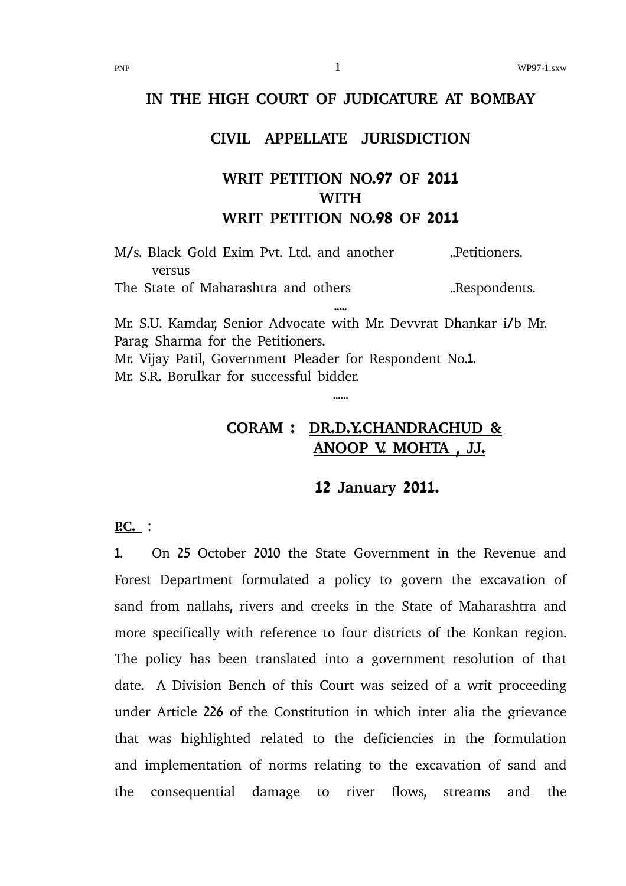#### **IN THE HIGH COURT OF JUDICATURE AT BOMBAY**

### **CIVIL APPELLATE JURISDICTION**

# **WRIT PETITION NO.97 OF 2011 WITH WRIT PETITION NO.98 OF 2011**

M/s. Black Gold Exim Pvt. Ltd. and another ..Petitioners. versus The State of Maharashtra and others ..Respondents. ..... Mr. S.U. Kamdar, Senior Advocate with Mr. Devvrat Dhankar i/b Mr.

Parag Sharma for the Petitioners. Mr. Vijay Patil, Government Pleader for Respondent No.1. Mr. S.R. Borulkar for successful bidder.

......

# **CORAM : DR.D.Y.CHANDRACHUD & ANOOP V. MOHTA , JJ.**

#### **12 January 2011.**

**P.C.**  :

1. On 25 October 2010 the State Government in the Revenue and Forest Department formulated a policy to govern the excavation of sand from nallahs, rivers and creeks in the State of Maharashtra and more specifically with reference to four districts of the Konkan region. The policy has been translated into a government resolution of that date. A Division Bench of this Court was seized of a writ proceeding under Article 226 of the Constitution in which inter alia the grievance that was highlighted related to the deficiencies in the formulation and implementation of norms relating to the excavation of sand and the consequential damage to river flows, streams and the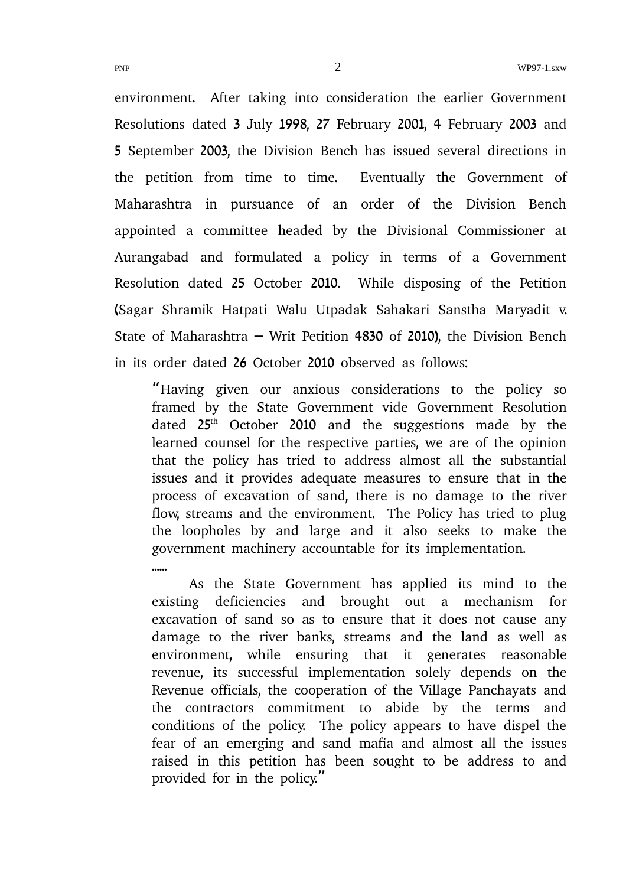environment. After taking into consideration the earlier Government Resolutions dated 3 July 1998, 27 February 2001, 4 February 2003 and 5 September 2003, the Division Bench has issued several directions in the petition from time to time. Eventually the Government of Maharashtra in pursuance of an order of the Division Bench appointed a committee headed by the Divisional Commissioner at Aurangabad and formulated a policy in terms of a Government Resolution dated 25 October 2010. While disposing of the Petition (Sagar Shramik Hatpati Walu Utpadak Sahakari Sanstha Maryadit v. State of Maharashtra  $-$  Writ Petition 4830 of 2010), the Division Bench in its order dated 26 October 2010 observed as follows:

"Having given our anxious considerations to the policy so framed by the State Government vide Government Resolution dated  $25<sup>th</sup>$  October 2010 and the suggestions made by the learned counsel for the respective parties, we are of the opinion that the policy has tried to address almost all the substantial issues and it provides adequate measures to ensure that in the process of excavation of sand, there is no damage to the river flow, streams and the environment. The Policy has tried to plug the loopholes by and large and it also seeks to make the government machinery accountable for its implementation.

As the State Government has applied its mind to the existing deficiencies and brought out a mechanism for excavation of sand so as to ensure that it does not cause any damage to the river banks, streams and the land as well as environment, while ensuring that it generates reasonable revenue, its successful implementation solely depends on the Revenue officials, the cooperation of the Village Panchayats and the contractors commitment to abide by the terms and conditions of the policy. The policy appears to have dispel the fear of an emerging and sand mafia and almost all the issues raised in this petition has been sought to be address to and provided for in the policy."

......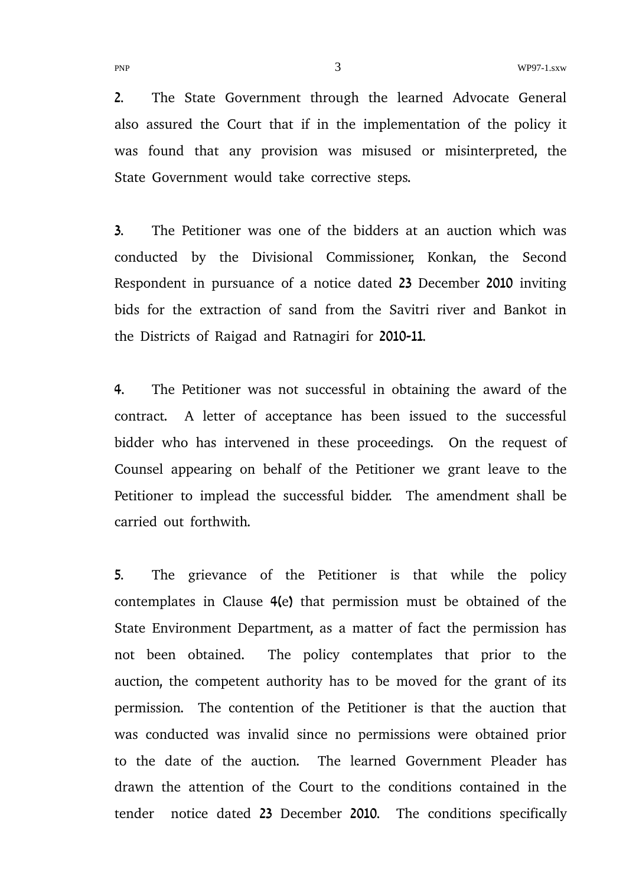PNP WP97-1.sxw

2. The State Government through the learned Advocate General also assured the Court that if in the implementation of the policy it was found that any provision was misused or misinterpreted, the State Government would take corrective steps.

3. The Petitioner was one of the bidders at an auction which was conducted by the Divisional Commissioner, Konkan, the Second Respondent in pursuance of a notice dated 23 December 2010 inviting bids for the extraction of sand from the Savitri river and Bankot in the Districts of Raigad and Ratnagiri for 2010-11.

4. The Petitioner was not successful in obtaining the award of the contract. A letter of acceptance has been issued to the successful bidder who has intervened in these proceedings. On the request of Counsel appearing on behalf of the Petitioner we grant leave to the Petitioner to implead the successful bidder. The amendment shall be carried out forthwith.

5. The grievance of the Petitioner is that while the policy contemplates in Clause 4(e) that permission must be obtained of the State Environment Department, as a matter of fact the permission has not been obtained. The policy contemplates that prior to the auction, the competent authority has to be moved for the grant of its permission. The contention of the Petitioner is that the auction that was conducted was invalid since no permissions were obtained prior to the date of the auction. The learned Government Pleader has drawn the attention of the Court to the conditions contained in the tender notice dated 23 December 2010. The conditions specifically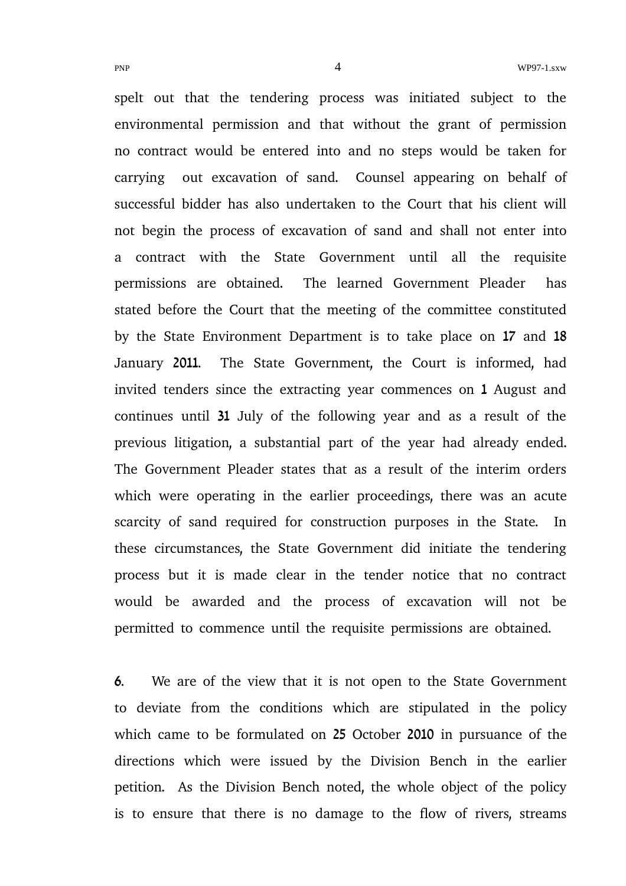spelt out that the tendering process was initiated subject to the environmental permission and that without the grant of permission no contract would be entered into and no steps would be taken for carrying out excavation of sand. Counsel appearing on behalf of successful bidder has also undertaken to the Court that his client will not begin the process of excavation of sand and shall not enter into a contract with the State Government until all the requisite permissions are obtained. The learned Government Pleader has stated before the Court that the meeting of the committee constituted by the State Environment Department is to take place on 17 and 18 January 2011. The State Government, the Court is informed, had invited tenders since the extracting year commences on 1 August and continues until 31 July of the following year and as a result of the previous litigation, a substantial part of the year had already ended. The Government Pleader states that as a result of the interim orders which were operating in the earlier proceedings, there was an acute scarcity of sand required for construction purposes in the State. In these circumstances, the State Government did initiate the tendering process but it is made clear in the tender notice that no contract would be awarded and the process of excavation will not be permitted to commence until the requisite permissions are obtained.

6. We are of the view that it is not open to the State Government to deviate from the conditions which are stipulated in the policy which came to be formulated on 25 October 2010 in pursuance of the directions which were issued by the Division Bench in the earlier petition. As the Division Bench noted, the whole object of the policy is to ensure that there is no damage to the flow of rivers, streams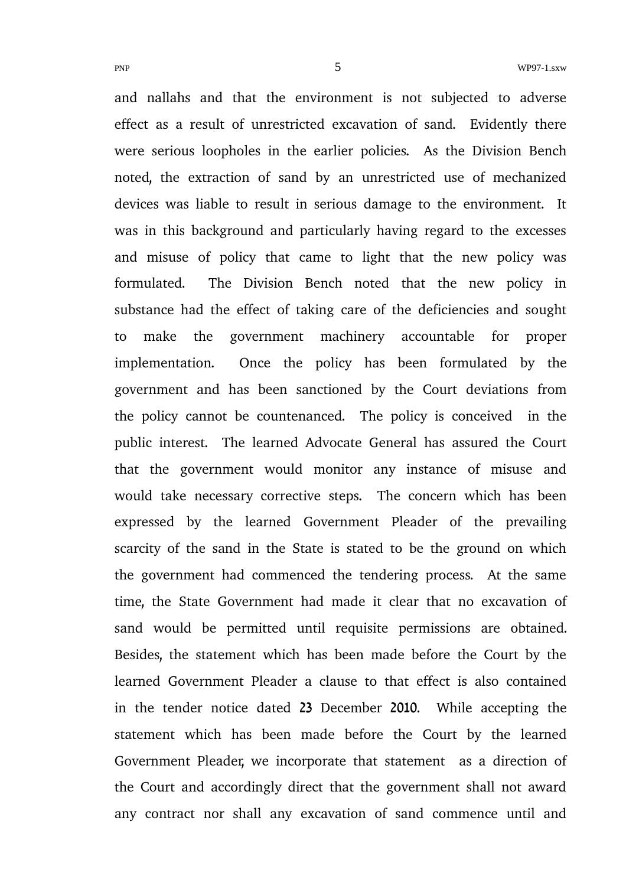and nallahs and that the environment is not subjected to adverse effect as a result of unrestricted excavation of sand. Evidently there were serious loopholes in the earlier policies. As the Division Bench noted, the extraction of sand by an unrestricted use of mechanized devices was liable to result in serious damage to the environment. It was in this background and particularly having regard to the excesses and misuse of policy that came to light that the new policy was formulated. The Division Bench noted that the new policy in substance had the effect of taking care of the deficiencies and sought to make the government machinery accountable for proper implementation. Once the policy has been formulated by the government and has been sanctioned by the Court deviations from the policy cannot be countenanced. The policy is conceived in the public interest. The learned Advocate General has assured the Court that the government would monitor any instance of misuse and would take necessary corrective steps. The concern which has been expressed by the learned Government Pleader of the prevailing scarcity of the sand in the State is stated to be the ground on which the government had commenced the tendering process. At the same time, the State Government had made it clear that no excavation of sand would be permitted until requisite permissions are obtained. Besides, the statement which has been made before the Court by the learned Government Pleader a clause to that effect is also contained in the tender notice dated 23 December 2010. While accepting the statement which has been made before the Court by the learned Government Pleader, we incorporate that statement as a direction of the Court and accordingly direct that the government shall not award any contract nor shall any excavation of sand commence until and